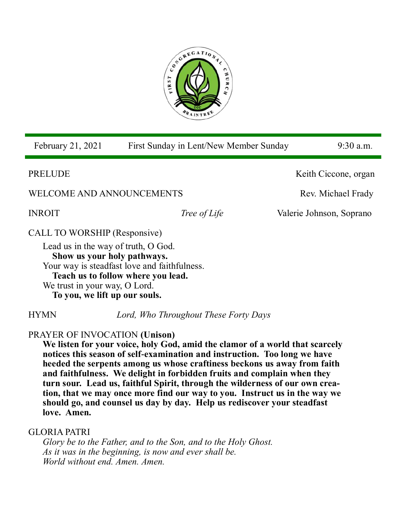

| February 21, 2021                                                  | First Sunday in Lent/New Member Sunday       |  | $9:30$ a.m.              |  |
|--------------------------------------------------------------------|----------------------------------------------|--|--------------------------|--|
| PRELUDE                                                            |                                              |  | Keith Ciccone, organ     |  |
| WELCOME AND ANNOUNCEMENTS                                          |                                              |  | Rev. Michael Frady       |  |
| <b>INROIT</b>                                                      | <i>Tree of Life</i>                          |  | Valerie Johnson, Soprano |  |
| <b>CALL TO WORSHIP (Responsive)</b>                                |                                              |  |                          |  |
| Lead us in the way of truth, O God.<br>Show us your holy pathways. | Your way is steadfast love and faithfulness. |  |                          |  |

**Teach us to follow where you lead.**

We trust in your way, O Lord.

**To you, we lift up our souls.**

HYMN *Lord, Who Throughout These Forty Days* 

# PRAYER OF INVOCATION **(Unison)**

**We listen for your voice, holy God, amid the clamor of a world that scarcely notices this season of self-examination and instruction. Too long we have heeded the serpents among us whose craftiness beckons us away from faith and faithfulness. We delight in forbidden fruits and complain when they turn sour. Lead us, faithful Spirit, through the wilderness of our own creation, that we may once more find our way to you. Instruct us in the way we should go, and counsel us day by day. Help us rediscover your steadfast love. Amen.**

## GLORIA PATRI

*Glory be to the Father, and to the Son, and to the Holy Ghost. As it was in the beginning, is now and ever shall be. World without end. Amen. Amen.*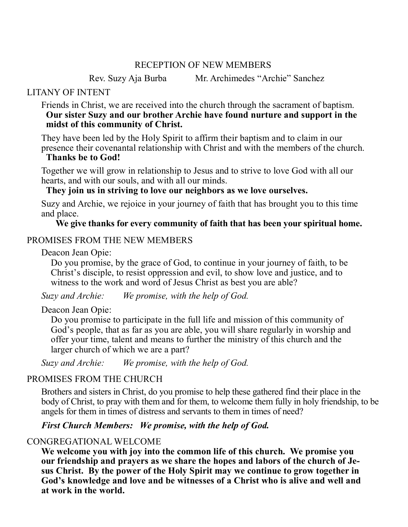#### RECEPTION OF NEW MEMBERS

Rev. Suzy Aja Burba Mr. Archimedes "Archie" Sanchez

#### LITANY OF INTENT

Friends in Christ, we are received into the church through the sacrament of baptism. **Our sister Suzy and our brother Archie have found nurture and support in the midst of this community of Christ.** 

They have been led by the Holy Spirit to affirm their baptism and to claim in our presence their covenantal relationship with Christ and with the members of the church.

#### **Thanks be to God!**

Together we will grow in relationship to Jesus and to strive to love God with all our hearts, and with our souls, and with all our minds.

**They join us in striving to love our neighbors as we love ourselves.**

Suzy and Archie, we rejoice in your journey of faith that has brought you to this time and place.

#### **We give thanks for every community of faith that has been your spiritual home.**

## PROMISES FROM THE NEW MEMBERS

Deacon Jean Opie:

Do you promise, by the grace of God, to continue in your journey of faith, to be Christ's disciple, to resist oppression and evil, to show love and justice, and to witness to the work and word of Jesus Christ as best you are able?

*Suzy and Archie: We promise, with the help of God.*

## Deacon Jean Opie:

Do you promise to participate in the full life and mission of this community of God's people, that as far as you are able, you will share regularly in worship and offer your time, talent and means to further the ministry of this church and the larger church of which we are a part?

*Suzy and Archie: We promise, with the help of God.*

## PROMISES FROM THE CHURCH

Brothers and sisters in Christ, do you promise to help these gathered find their place in the body of Christ, to pray with them and for them, to welcome them fully in holy friendship, to be angels for them in times of distress and servants to them in times of need?

## *First Church Members: We promise, with the help of God.*

# CONGREGATIONAL WELCOME

**We welcome you with joy into the common life of this church. We promise you our friendship and prayers as we share the hopes and labors of the church of Jesus Christ. By the power of the Holy Spirit may we continue to grow together in God's knowledge and love and be witnesses of a Christ who is alive and well and at work in the world.**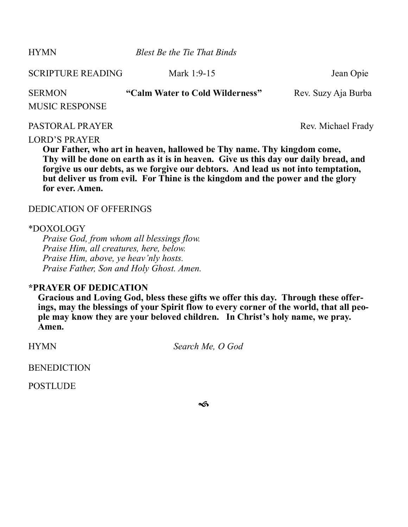HYMN *Blest Be the Tie That Binds* 

SCRIPTURE READING Mark 1:9-15 Jean Opie SERMON **"Calm Water to Cold Wilderness"** Rev. Suzy Aja Burba MUSIC RESPONSE PASTORAL PRAYER Rev. Michael Frady

## LORD'S PRAYER

**Our Father, who art in heaven, hallowed be Thy name. Thy kingdom come, Thy will be done on earth as it is in heaven. Give us this day our daily bread, and forgive us our debts, as we forgive our debtors. And lead us not into temptation, but deliver us from evil. For Thine is the kingdom and the power and the glory for ever. Amen.**

#### DEDICATION OF OFFERINGS

#### \*DOXOLOGY

*Praise God, from whom all blessings flow. Praise Him, all creatures, here, below. Praise Him, above, ye heav'nly hosts. Praise Father, Son and Holy Ghost. Amen.*

#### **\*PRAYER OF DEDICATION**

**Gracious and Loving God, bless these gifts we offer this day. Through these offerings, may the blessings of your Spirit flow to every corner of the world, that all people may know they are your beloved children. In Christ's holy name, we pray. Amen.**

HYMN *Search Me, O God* 

**BENEDICTION** 

**POSTLUDE** 

ีช